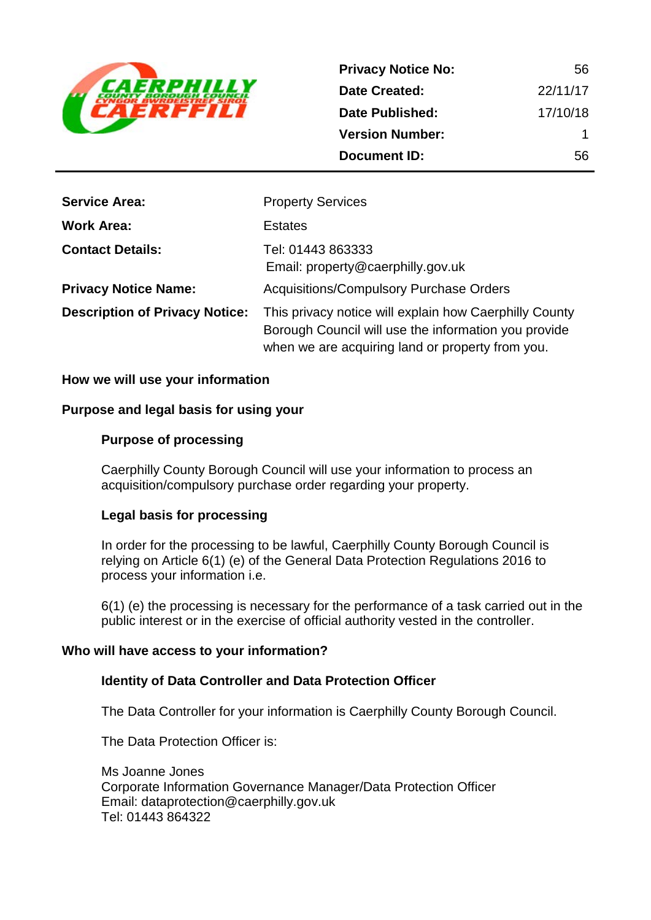

| <b>Privacy Notice No:</b> | 56       |
|---------------------------|----------|
| <b>Date Created:</b>      | 22/11/17 |
| Date Published:           | 17/10/18 |
| <b>Version Number:</b>    | 1        |
| <b>Document ID:</b>       | 56       |

| <b>Service Area:</b>                  | <b>Property Services</b>                                                                                                                                           |
|---------------------------------------|--------------------------------------------------------------------------------------------------------------------------------------------------------------------|
| <b>Work Area:</b>                     | <b>Estates</b>                                                                                                                                                     |
| <b>Contact Details:</b>               | Tel: 01443 863333<br>Email: property@caerphilly.gov.uk                                                                                                             |
| <b>Privacy Notice Name:</b>           | <b>Acquisitions/Compulsory Purchase Orders</b>                                                                                                                     |
| <b>Description of Privacy Notice:</b> | This privacy notice will explain how Caerphilly County<br>Borough Council will use the information you provide<br>when we are acquiring land or property from you. |

#### **How we will use your information**

#### **Purpose and legal basis for using your**

#### **Purpose of processing**

Caerphilly County Borough Council will use your information to process an acquisition/compulsory purchase order regarding your property.

## **Legal basis for processing**

In order for the processing to be lawful, Caerphilly County Borough Council is relying on Article 6(1) (e) of the General Data Protection Regulations 2016 to process your information i.e.

6(1) (e) the processing is necessary for the performance of a task carried out in the public interest or in the exercise of official authority vested in the controller.

#### **Who will have access to your information?**

#### **Identity of Data Controller and Data Protection Officer**

The Data Controller for your information is Caerphilly County Borough Council.

The Data Protection Officer is:

Ms Joanne Jones Corporate Information Governance Manager/Data Protection Officer Email: dataprotection@caerphilly.gov.uk Tel: 01443 864322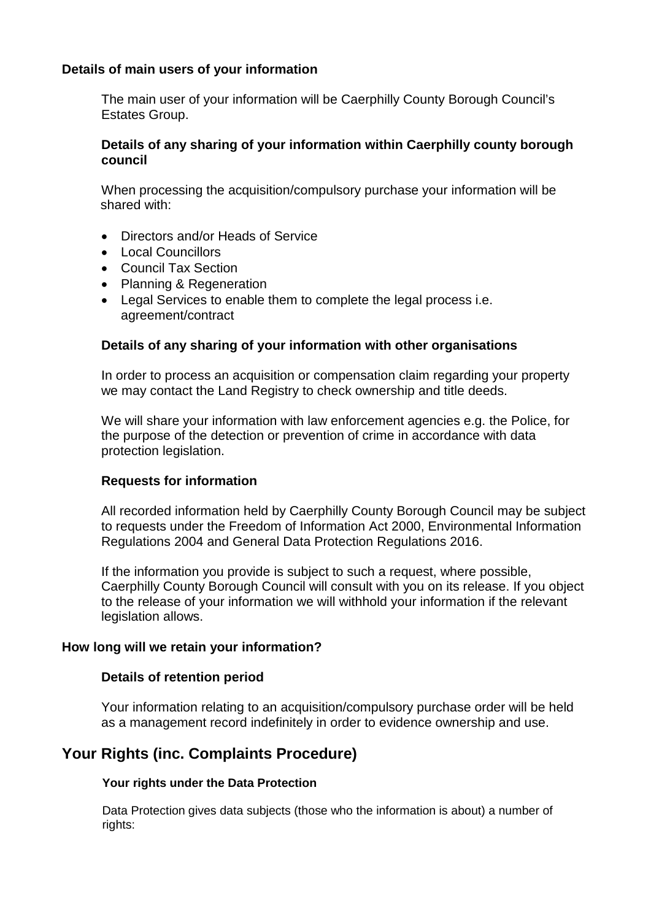# **Details of main users of your information**

The main user of your information will be Caerphilly County Borough Council's Estates Group.

# **Details of any sharing of your information within Caerphilly county borough council**

When processing the acquisition/compulsory purchase your information will be shared with:

- Directors and/or Heads of Service
- Local Councillors
- Council Tax Section
- Planning & Regeneration
- Legal Services to enable them to complete the legal process i.e. agreement/contract

## **Details of any sharing of your information with other organisations**

In order to process an acquisition or compensation claim regarding your property we may contact the Land Registry to check ownership and title deeds.

We will share your information with law enforcement agencies e.g. the Police, for the purpose of the detection or prevention of crime in accordance with data protection legislation.

## **Requests for information**

All recorded information held by Caerphilly County Borough Council may be subject to requests under the Freedom of Information Act 2000, Environmental Information Regulations 2004 and General Data Protection Regulations 2016.

If the information you provide is subject to such a request, where possible, Caerphilly County Borough Council will consult with you on its release. If you object to the release of your information we will withhold your information if the relevant legislation allows.

## **How long will we retain your information?**

## **Details of retention period**

Your information relating to an acquisition/compulsory purchase order will be held as a management record indefinitely in order to evidence ownership and use.

# **Your Rights (inc. Complaints Procedure)**

## **Your rights under the Data Protection**

Data Protection gives data subjects (those who the information is about) a number of rights: